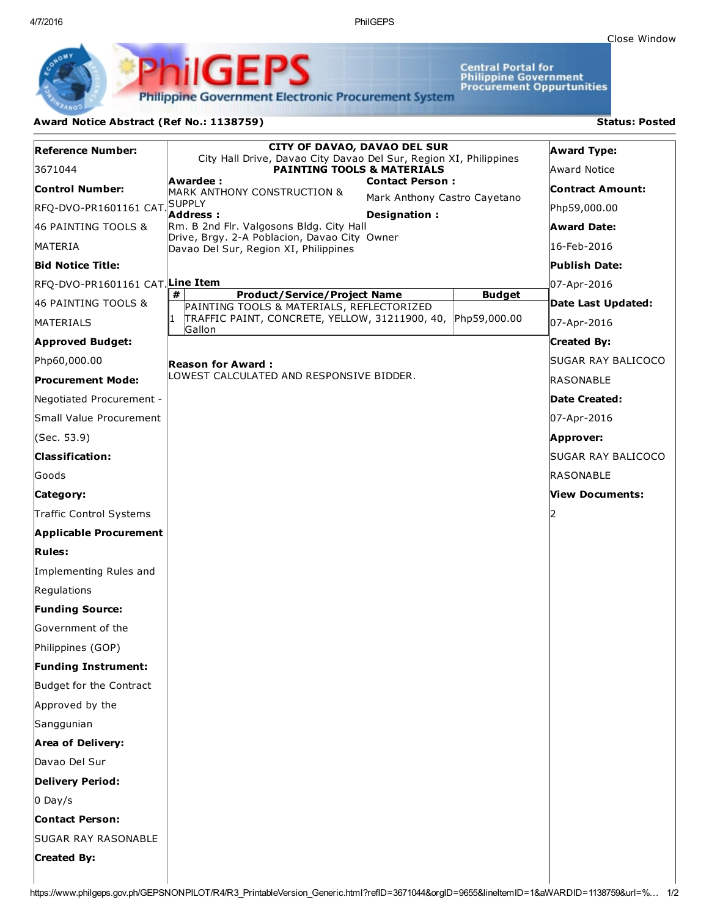4/7/2016 PhilGEPS

Central Portal for<br>Philippine Government<br>Procurement Oppurtunities

**Philippine Government Electronic Procurement System** 

PS

## Award Notice Abstract (Ref No.: 1138759) Status: Posted

PhilGEI

| Reference Number:               | <b>CITY OF DAVAO, DAVAO DEL SUR</b><br>City Hall Drive, Davao City Davao Del Sur, Region XI, Philippines |               | <b>Award Type:</b>      |
|---------------------------------|----------------------------------------------------------------------------------------------------------|---------------|-------------------------|
| 3671044                         | <b>PAINTING TOOLS &amp; MATERIALS</b><br>Awardee :                                                       |               | Award Notice            |
| <b>Control Number:</b>          | <b>Contact Person:</b><br>MARK ANTHONY CONSTRUCTION &<br>Mark Anthony Castro Cayetano                    |               | <b>Contract Amount:</b> |
| RFQ-DVO-PR1601161 CAT SUPPLY    | Address:<br>Designation:                                                                                 |               | Php59,000.00            |
| 46 PAINTING TOOLS &             | Rm. B 2nd Flr. Valgosons Bldg. City Hall<br>Drive, Brgy. 2-A Poblacion, Davao City Owner                 |               | <b>Award Date:</b>      |
| MATERIA                         | Davao Del Sur, Region XI, Philippines                                                                    |               | 16-Feb-2016             |
| <b>Bid Notice Title:</b>        |                                                                                                          |               | Publish Date:           |
| RFQ-DVO-PR1601161 CAT Line Item | #                                                                                                        |               | 07-Apr-2016             |
| 46 PAINTING TOOLS &             | <b>Product/Service/Project Name</b><br>PAINTING TOOLS & MATERIALS, REFLECTORIZED                         | <b>Budget</b> | Date Last Updated:      |
| MATERIALS                       | TRAFFIC PAINT, CONCRETE, YELLOW, 31211900, 40,<br>Gallon                                                 | Php59,000.00  | 07-Apr-2016             |
| <b>Approved Budget:</b>         |                                                                                                          |               | <b>Created By:</b>      |
| Php60,000.00                    | Reason for Award :                                                                                       |               | SUGAR RAY BALICOCO      |
| <b>Procurement Mode:</b>        | LOWEST CALCULATED AND RESPONSIVE BIDDER.                                                                 |               | RASONABLE               |
| Negotiated Procurement -        |                                                                                                          |               | Date Created:           |
| Small Value Procurement         |                                                                                                          |               | 07-Apr-2016             |
| (Sec. 53.9)                     |                                                                                                          |               | Approver:               |
| <b>Classification:</b>          |                                                                                                          |               | SUGAR RAY BALICOCO      |
| Goods                           |                                                                                                          |               | RASONABLE               |
| Category:                       |                                                                                                          |               | View Documents:         |
| Traffic Control Systems         |                                                                                                          |               | 12                      |
| <b>Applicable Procurement</b>   |                                                                                                          |               |                         |
| <b>Rules:</b>                   |                                                                                                          |               |                         |
| Implementing Rules and          |                                                                                                          |               |                         |
| Regulations                     |                                                                                                          |               |                         |
| <b>Funding Source:</b>          |                                                                                                          |               |                         |
| Government of the               |                                                                                                          |               |                         |
| Philippines (GOP)               |                                                                                                          |               |                         |
| <b>Funding Instrument:</b>      |                                                                                                          |               |                         |
| Budget for the Contract         |                                                                                                          |               |                         |
| Approved by the                 |                                                                                                          |               |                         |
| Sanggunian                      |                                                                                                          |               |                         |
| <b>Area of Delivery:</b>        |                                                                                                          |               |                         |
| Davao Del Sur                   |                                                                                                          |               |                         |
| <b>Delivery Period:</b>         |                                                                                                          |               |                         |
| $O$ Day/s                       |                                                                                                          |               |                         |
| <b>Contact Person:</b>          |                                                                                                          |               |                         |
| <b>SUGAR RAY RASONABLE</b>      |                                                                                                          |               |                         |
| <b>Created By:</b>              |                                                                                                          |               |                         |
|                                 |                                                                                                          |               |                         |